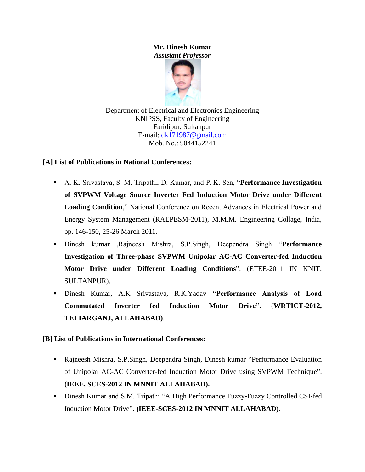# **Mr. Dinesh Kumar** *Assistant Professor*



Department of Electrical and Electronics Engineering KNIPSS, Faculty of Engineering Faridipur, Sultanpur E-mail: [dk171987@gmail.com](mailto:dk171987@gmail.com) Mob. No.: 9044152241

# **[A] List of Publications in National Conferences:**

- A. K. Srivastava, S. M. Tripathi, D. Kumar, and P. K. Sen, "**Performance Investigation of SVPWM Voltage Source Inverter Fed Induction Motor Drive under Different Loading Condition**," National Conference on Recent Advances in Electrical Power and Energy System Management (RAEPESM-2011), M.M.M. Engineering Collage, India, pp. 146-150, 25-26 March 2011.
- Dinesh kumar ,Rajneesh Mishra, S.P.Singh, Deependra Singh "**Performance Investigation of Three-phase SVPWM Unipolar AC-AC Converter-fed Induction Motor Drive under Different Loading Conditions**". (ETEE-2011 IN KNIT, SULTANPUR).
- Dinesh Kumar, A.K Srivastava, R.K.Yadav **"Performance Analysis of Load Commutated Inverter fed Induction Motor Drive"**. (**WRTICT-2012, TELIARGANJ, ALLAHABAD)**.

### **[B] List of Publications in International Conferences:**

- Rajneesh Mishra, S.P.Singh, Deependra Singh, Dinesh kumar "Performance Evaluation of Unipolar AC-AC Converter-fed Induction Motor Drive using SVPWM Technique". **(IEEE, SCES-2012 IN MNNIT ALLAHABAD).**
- Dinesh Kumar and S.M. Tripathi "A High Performance Fuzzy-Fuzzy Controlled CSI-fed Induction Motor Drive". **(IEEE-SCES-2012 IN MNNIT ALLAHABAD).**